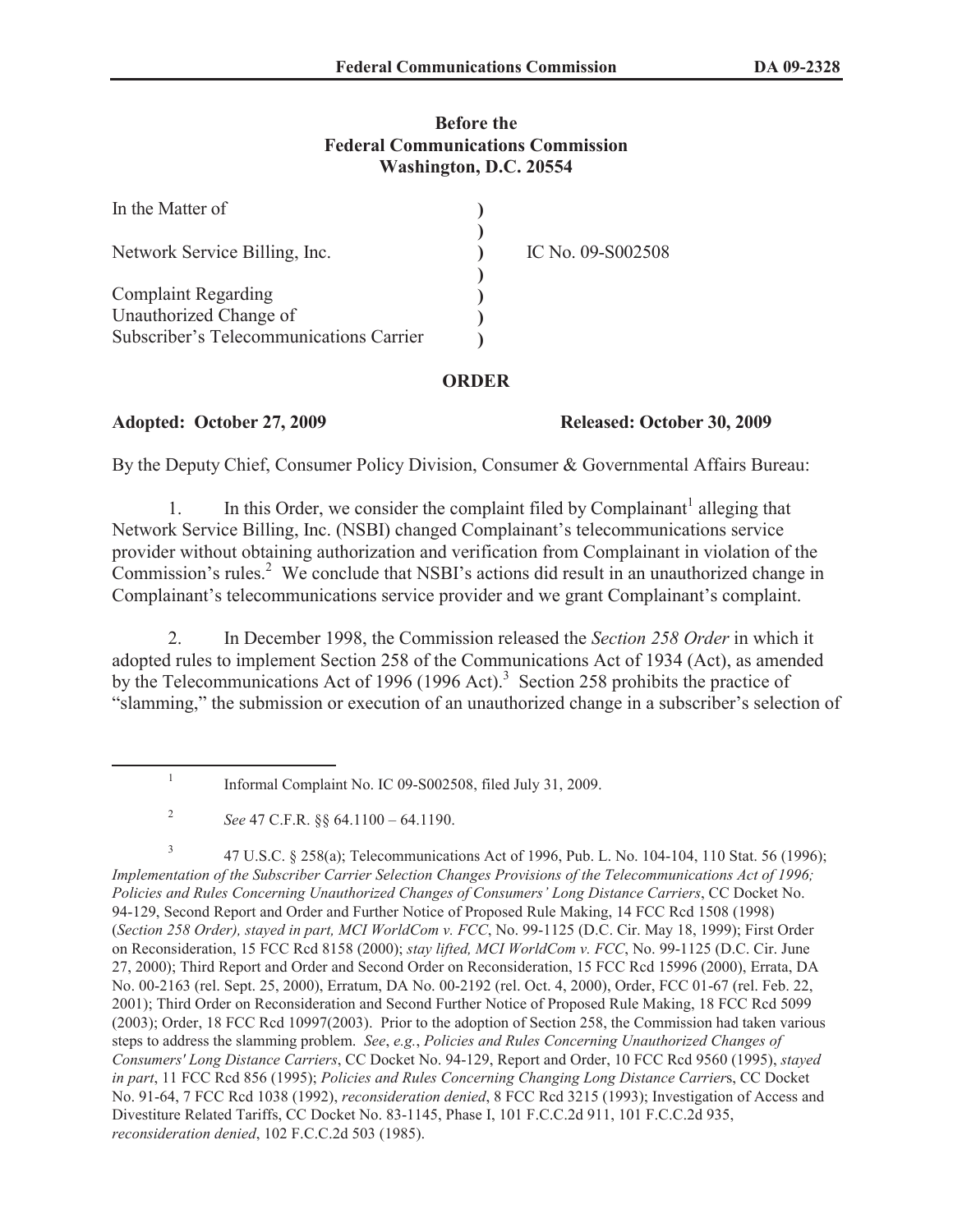## **Before the Federal Communications Commission Washington, D.C. 20554**

| In the Matter of                        |                   |
|-----------------------------------------|-------------------|
| Network Service Billing, Inc.           | IC No. 09-S002508 |
| <b>Complaint Regarding</b>              |                   |
| Unauthorized Change of                  |                   |
| Subscriber's Telecommunications Carrier |                   |

## **ORDER**

## **Adopted: October 27, 2009 Released: October 30, 2009**

By the Deputy Chief, Consumer Policy Division, Consumer & Governmental Affairs Bureau:

1. In this Order, we consider the complaint filed by Complainant<sup>1</sup> alleging that Network Service Billing, Inc. (NSBI) changed Complainant's telecommunications service provider without obtaining authorization and verification from Complainant in violation of the Commission's rules.<sup>2</sup> We conclude that NSBI's actions did result in an unauthorized change in Complainant's telecommunications service provider and we grant Complainant's complaint.

2. In December 1998, the Commission released the *Section 258 Order* in which it adopted rules to implement Section 258 of the Communications Act of 1934 (Act), as amended by the Telecommunications Act of 1996 (1996 Act).<sup>3</sup> Section 258 prohibits the practice of "slamming," the submission or execution of an unauthorized change in a subscriber's selection of

3 47 U.S.C. § 258(a); Telecommunications Act of 1996, Pub. L. No. 104-104, 110 Stat. 56 (1996); *Implementation of the Subscriber Carrier Selection Changes Provisions of the Telecommunications Act of 1996; Policies and Rules Concerning Unauthorized Changes of Consumers' Long Distance Carriers*, CC Docket No. 94-129, Second Report and Order and Further Notice of Proposed Rule Making, 14 FCC Rcd 1508 (1998) (*Section 258 Order), stayed in part, MCI WorldCom v. FCC*, No. 99-1125 (D.C. Cir. May 18, 1999); First Order on Reconsideration, 15 FCC Rcd 8158 (2000); *stay lifted, MCI WorldCom v. FCC*, No. 99-1125 (D.C. Cir. June 27, 2000); Third Report and Order and Second Order on Reconsideration, 15 FCC Rcd 15996 (2000), Errata, DA No. 00-2163 (rel. Sept. 25, 2000), Erratum, DA No. 00-2192 (rel. Oct. 4, 2000), Order, FCC 01-67 (rel. Feb. 22, 2001); Third Order on Reconsideration and Second Further Notice of Proposed Rule Making, 18 FCC Rcd 5099 (2003); Order, 18 FCC Rcd 10997(2003). Prior to the adoption of Section 258, the Commission had taken various steps to address the slamming problem. *See*, *e.g.*, *Policies and Rules Concerning Unauthorized Changes of Consumers' Long Distance Carriers*, CC Docket No. 94-129, Report and Order, 10 FCC Rcd 9560 (1995), *stayed in part*, 11 FCC Rcd 856 (1995); *Policies and Rules Concerning Changing Long Distance Carrier*s, CC Docket No. 91-64, 7 FCC Rcd 1038 (1992), *reconsideration denied*, 8 FCC Rcd 3215 (1993); Investigation of Access and Divestiture Related Tariffs, CC Docket No. 83-1145, Phase I, 101 F.C.C.2d 911, 101 F.C.C.2d 935, *reconsideration denied*, 102 F.C.C.2d 503 (1985).

<sup>1</sup> Informal Complaint No. IC 09-S002508, filed July 31, 2009.

<sup>2</sup> *See* 47 C.F.R. §§ 64.1100 – 64.1190.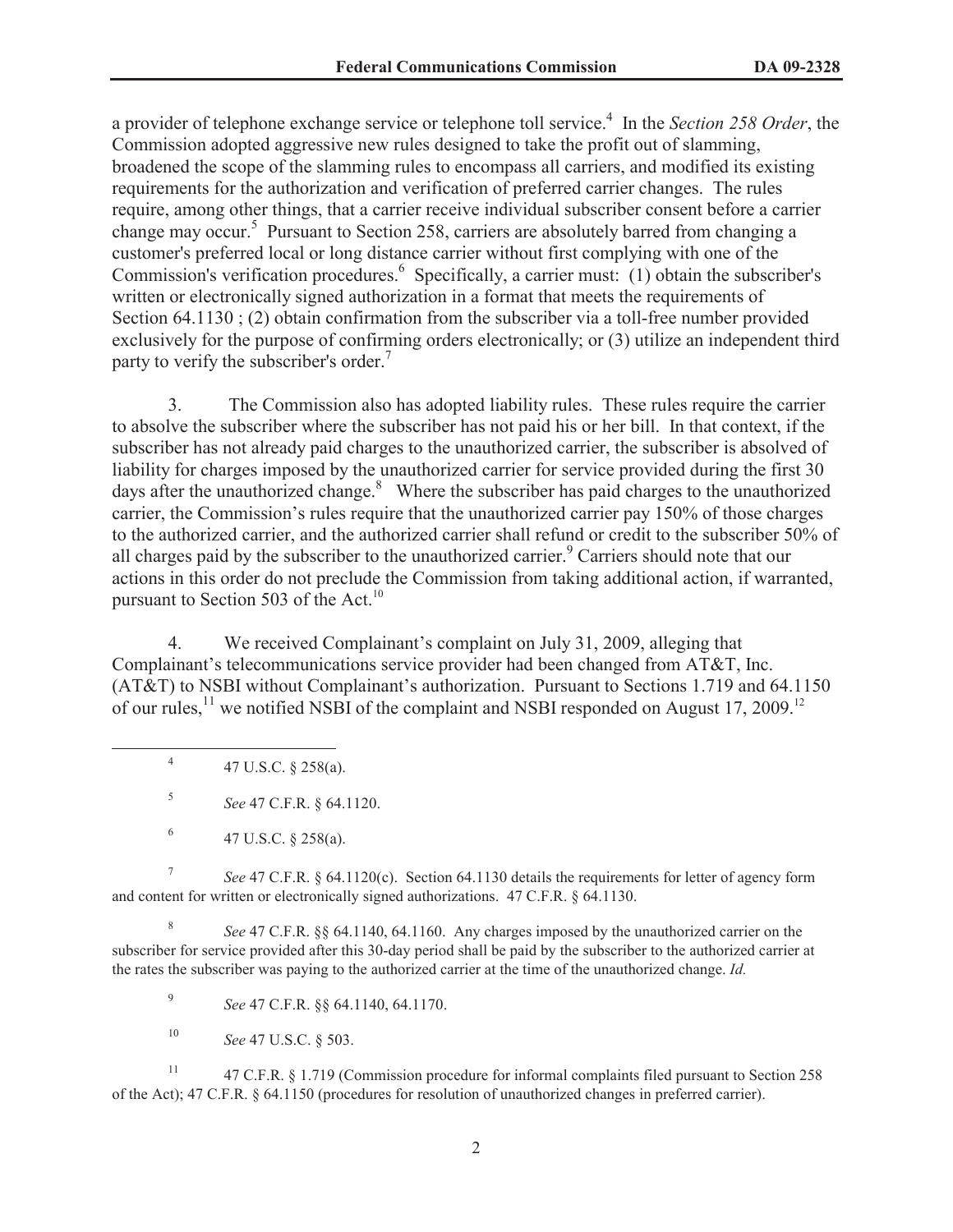a provider of telephone exchange service or telephone toll service.<sup>4</sup> In the *Section 258 Order*, the Commission adopted aggressive new rules designed to take the profit out of slamming, broadened the scope of the slamming rules to encompass all carriers, and modified its existing requirements for the authorization and verification of preferred carrier changes. The rules require, among other things, that a carrier receive individual subscriber consent before a carrier change may occur.<sup>5</sup> Pursuant to Section 258, carriers are absolutely barred from changing a customer's preferred local or long distance carrier without first complying with one of the Commission's verification procedures.<sup>6</sup> Specifically, a carrier must: (1) obtain the subscriber's written or electronically signed authorization in a format that meets the requirements of Section 64.1130 ; (2) obtain confirmation from the subscriber via a toll-free number provided exclusively for the purpose of confirming orders electronically; or (3) utilize an independent third party to verify the subscriber's order.<sup>7</sup>

3. The Commission also has adopted liability rules. These rules require the carrier to absolve the subscriber where the subscriber has not paid his or her bill. In that context, if the subscriber has not already paid charges to the unauthorized carrier, the subscriber is absolved of liability for charges imposed by the unauthorized carrier for service provided during the first 30 days after the unauthorized change. $8\text{ }$  Where the subscriber has paid charges to the unauthorized carrier, the Commission's rules require that the unauthorized carrier pay 150% of those charges to the authorized carrier, and the authorized carrier shall refund or credit to the subscriber 50% of all charges paid by the subscriber to the unauthorized carrier.<sup>9</sup> Carriers should note that our actions in this order do not preclude the Commission from taking additional action, if warranted, pursuant to Section 503 of the Act.<sup>10</sup>

4. We received Complainant's complaint on July 31, 2009, alleging that Complainant's telecommunications service provider had been changed from AT&T, Inc. (AT&T) to NSBI without Complainant's authorization. Pursuant to Sections 1.719 and 64.1150 of our rules,  $^{11}$  we notified NSBI of the complaint and NSBI responded on August 17, 2009.<sup>12</sup>

4 47 U.S.C. § 258(a).

5 *See* 47 C.F.R. § 64.1120.

7 *See* 47 C.F.R. § 64.1120(c). Section 64.1130 details the requirements for letter of agency form and content for written or electronically signed authorizations. 47 C.F.R. § 64.1130.

8 *See* 47 C.F.R. §§ 64.1140, 64.1160. Any charges imposed by the unauthorized carrier on the subscriber for service provided after this 30-day period shall be paid by the subscriber to the authorized carrier at the rates the subscriber was paying to the authorized carrier at the time of the unauthorized change. *Id.*

9 *See* 47 C.F.R. §§ 64.1140, 64.1170.

<sup>10</sup> *See* 47 U.S.C. § 503.

<sup>11</sup> 47 C.F.R. § 1.719 (Commission procedure for informal complaints filed pursuant to Section 258 of the Act); 47 C.F.R. § 64.1150 (procedures for resolution of unauthorized changes in preferred carrier).

<sup>6</sup> 47 U.S.C. § 258(a).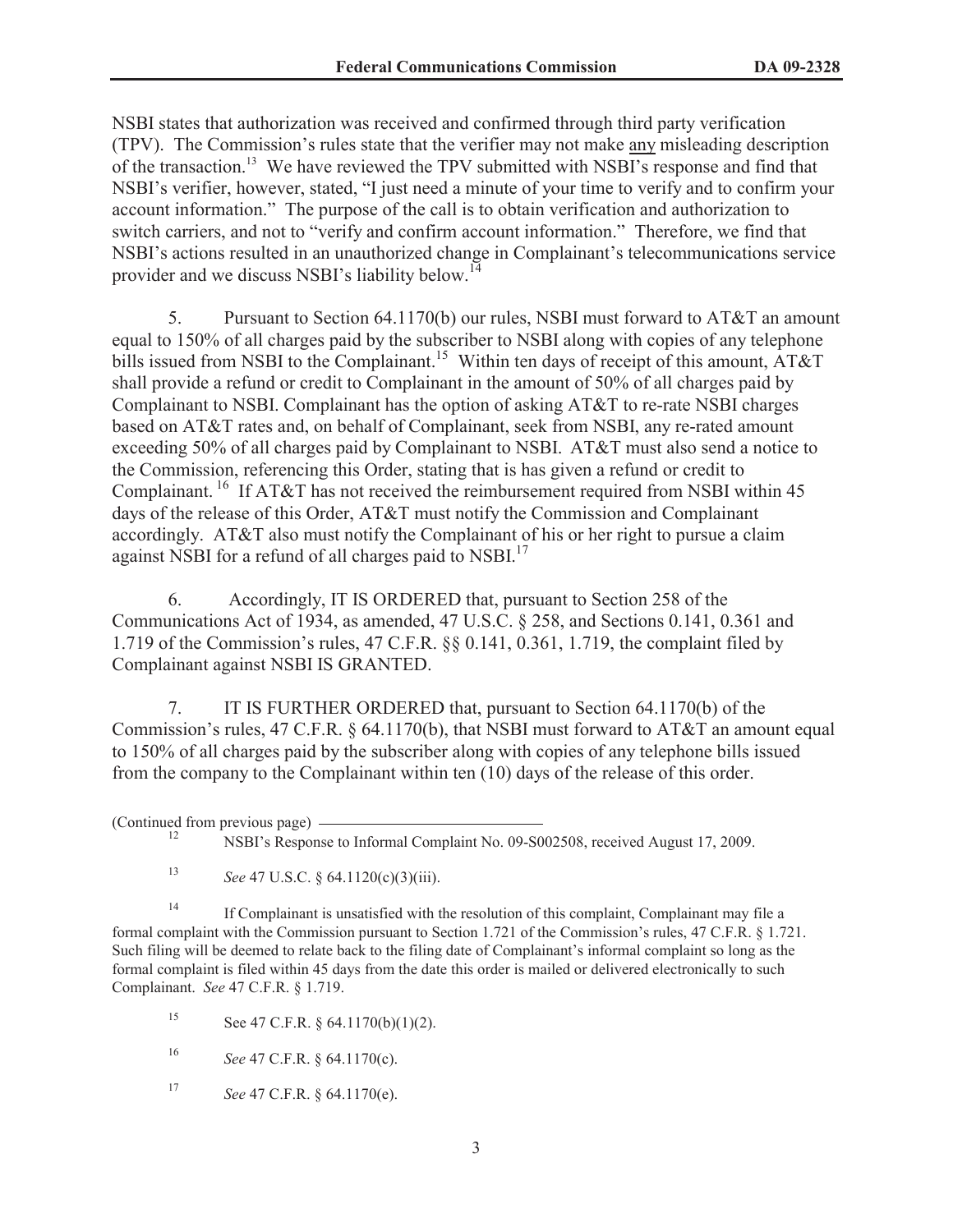NSBI states that authorization was received and confirmed through third party verification (TPV). The Commission's rules state that the verifier may not make any misleading description of the transaction.<sup>13</sup> We have reviewed the TPV submitted with NSBI's response and find that NSBI's verifier, however, stated, "I just need a minute of your time to verify and to confirm your account information." The purpose of the call is to obtain verification and authorization to switch carriers, and not to "verify and confirm account information." Therefore, we find that NSBI's actions resulted in an unauthorized change in Complainant's telecommunications service provider and we discuss NSBI's liability below.<sup>14</sup>

5. Pursuant to Section 64.1170(b) our rules, NSBI must forward to AT&T an amount equal to 150% of all charges paid by the subscriber to NSBI along with copies of any telephone bills issued from NSBI to the Complainant.<sup>15</sup> Within ten days of receipt of this amount, AT&T shall provide a refund or credit to Complainant in the amount of 50% of all charges paid by Complainant to NSBI. Complainant has the option of asking AT&T to re-rate NSBI charges based on AT&T rates and, on behalf of Complainant, seek from NSBI, any re-rated amount exceeding 50% of all charges paid by Complainant to NSBI. AT&T must also send a notice to the Commission, referencing this Order, stating that is has given a refund or credit to Complainant.<sup>16</sup> If AT&T has not received the reimbursement required from NSBI within 45 days of the release of this Order, AT&T must notify the Commission and Complainant accordingly. AT&T also must notify the Complainant of his or her right to pursue a claim against NSBI for a refund of all charges paid to NSBI.<sup>17</sup>

6. Accordingly, IT IS ORDERED that, pursuant to Section 258 of the Communications Act of 1934, as amended, 47 U.S.C. § 258, and Sections 0.141, 0.361 and 1.719 of the Commission's rules, 47 C.F.R. §§ 0.141, 0.361, 1.719, the complaint filed by Complainant against NSBI IS GRANTED.

7. IT IS FURTHER ORDERED that, pursuant to Section 64.1170(b) of the Commission's rules, 47 C.F.R.  $\& 64.1170(b)$ , that NSBI must forward to AT&T an amount equal to 150% of all charges paid by the subscriber along with copies of any telephone bills issued from the company to the Complainant within ten (10) days of the release of this order.

(Continued from previous page)

<sup>13</sup> *See* 47 U.S.C. § 64.1120(c)(3)(iii).

<sup>14</sup> If Complainant is unsatisfied with the resolution of this complaint, Complainant may file a formal complaint with the Commission pursuant to Section 1.721 of the Commission's rules, 47 C.F.R. § 1.721. Such filing will be deemed to relate back to the filing date of Complainant's informal complaint so long as the formal complaint is filed within 45 days from the date this order is mailed or delivered electronically to such Complainant. *See* 47 C.F.R. § 1.719.

15 See 47 C.F.R.  $\S$  64.1170(b)(1)(2).

<sup>16</sup> *See* 47 C.F.R. § 64.1170(c).

<sup>17</sup> *See* 47 C.F.R. § 64.1170(e).

<sup>12</sup> NSBI's Response to Informal Complaint No. 09-S002508, received August 17, 2009.